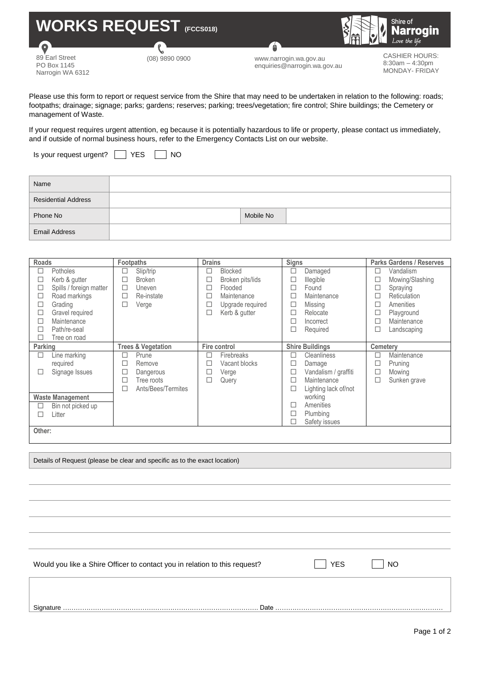

89 Earl Street PO Box 1145 Narrogin WA 6312

(08) 9890 0900 www.narrogin.wa.gov.au enquiries@narrogin.wa.gov.au

CASHIER HOURS: 8:30am – 4:30pm MONDAY- FRIDAY

Please use this form to report or request service from the Shire that may need to be undertaken in relation to the following: roads; footpaths; drainage; signage; parks; gardens; reserves; parking; trees/vegetation; fire control; Shire buildings; the Cemetery or management of Waste.

If your request requires urgent attention, eg because it is potentially hazardous to life or property, please contact us immediately, and if outside of normal business hours, refer to the Emergency Contacts List on our website.

Is your request urgent? | YES | NO

| Name                       |           |
|----------------------------|-----------|
| <b>Residential Address</b> |           |
| Phone No                   | Mobile No |
| <b>Email Address</b>       |           |

| <b>Roads</b>             |                         | <b>Footpaths</b>              |                    | <b>Drains</b>            |                  |              | <b>Signs</b>           |                 | <b>Parks Gardens / Reserves</b> |  |
|--------------------------|-------------------------|-------------------------------|--------------------|--------------------------|------------------|--------------|------------------------|-----------------|---------------------------------|--|
| □                        | <b>Potholes</b>         | □                             | Slip/trip          | □                        | <b>Blocked</b>   | □            | Damaged                |                 | Vandalism                       |  |
| $\Box$                   | Kerb & gutter           | П                             | <b>Broken</b>      | $\overline{\phantom{a}}$ | Broken pits/lids |              | Illegible              |                 | Mowing/Slashing                 |  |
| $\Box$                   | Spills / foreign matter | □                             | Uneven             | $\Box$                   | Flooded          |              | Found                  | □               | Spraying                        |  |
| □                        | Road markings           | □                             | Re-instate         | □                        | Maintenance      | ┓            | Maintenance            |                 | Reticulation                    |  |
| □                        | Grading                 | □                             | Verge              | □                        | Upgrade required | ⊔            | Missing                |                 | Amenities                       |  |
| $\overline{\phantom{a}}$ | Gravel required         |                               |                    | □                        | Kerb & gutter    |              | Relocate               | □               | Playground                      |  |
| □                        | Maintenance             |                               |                    |                          |                  |              | Incorrect              |                 | Maintenance                     |  |
| □                        | Path/re-seal            |                               |                    |                          |                  |              | Required               |                 | Landscaping                     |  |
| □                        | Tree on road            |                               |                    |                          |                  |              |                        |                 |                                 |  |
| Parking                  |                         | <b>Trees &amp; Vegetation</b> |                    | Fire control             |                  |              | <b>Shire Buildings</b> | <b>Cemeterv</b> |                                 |  |
| □                        | Line marking            | П                             | Prune              | Н                        | Firebreaks       | ┓            | Cleanliness            |                 | Maintenance                     |  |
|                          | required                | ▁                             | Remove             |                          | Vacant blocks    |              | Damage                 |                 | Pruning                         |  |
| П                        | Signage Issues          | $\overline{\phantom{a}}$      | Dangerous          | П                        | Verge            | a            | Vandalism / graffiti   | □               | Mowing                          |  |
|                          |                         |                               | Tree roots         |                          | Query            |              | Maintenance            |                 | Sunken grave                    |  |
|                          |                         | □                             | Ants/Bees/Termites |                          |                  | H            | Lighting lack of/not   |                 |                                 |  |
| <b>Waste Management</b>  |                         |                               |                    |                          |                  |              | working                |                 |                                 |  |
| □                        | Bin not picked up       |                               |                    |                          |                  | $\mathsf{L}$ | Amenities              |                 |                                 |  |
| П                        | Litter                  |                               |                    |                          |                  | ┚            | Plumbing               |                 |                                 |  |
|                          |                         |                               |                    |                          |                  | ⊔            | Safety issues          |                 |                                 |  |
|                          | Other:                  |                               |                    |                          |                  |              |                        |                 |                                 |  |

Details of Request (please be clear and specific as to the exact location)

Would you like a Shire Officer to contact you in relation to this request? YES YES NO

Signature ………………………………………………………………………………. Date ……………………………………………………………………